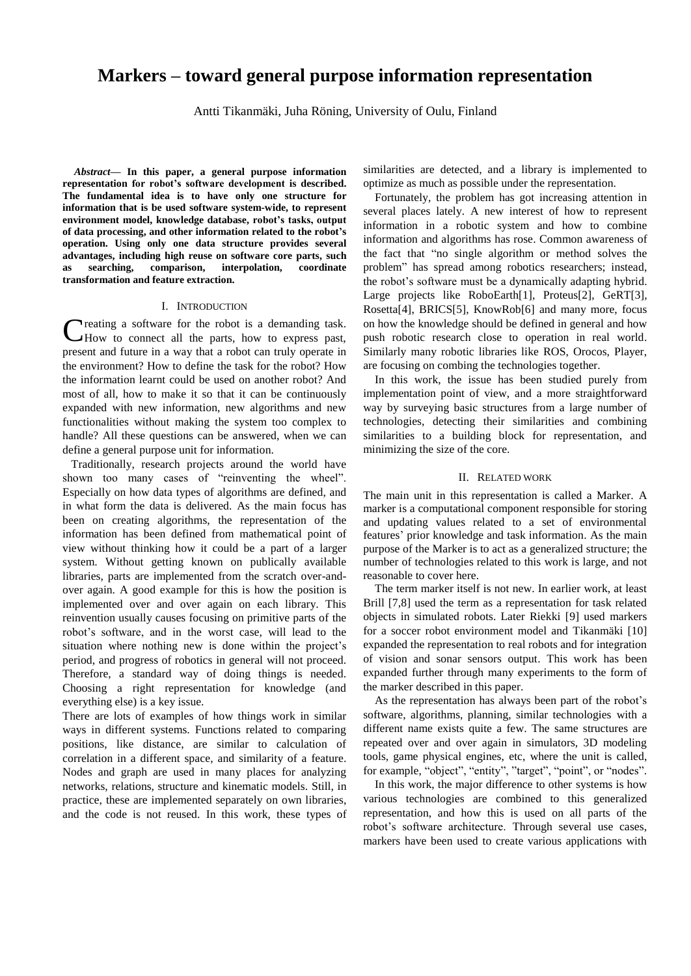# **Markers – toward general purpose information representation**

Antti Tikanmäki, Juha Röning, University of Oulu, Finland

*Abstract***— In this paper, a general purpose information representation for robot's software development is described. The fundamental idea is to have only one structure for information that is be used software system-wide, to represent environment model, knowledge database, robot's tasks, output of data processing, and other information related to the robot's operation. Using only one data structure provides several advantages, including high reuse on software core parts, such as searching, comparison, interpolation, coordinate transformation and feature extraction.**

#### I. INTRODUCTION

**Treating a software for the robot is a demanding task.** How to connect all the parts, how to express past, present and future in a way that a robot can truly operate in the environment? How to define the task for the robot? How the information learnt could be used on another robot? And most of all, how to make it so that it can be continuously expanded with new information, new algorithms and new functionalities without making the system too complex to handle? All these questions can be answered, when we can define a general purpose unit for information. C

 Traditionally, research projects around the world have shown too many cases of "reinventing the wheel". Especially on how data types of algorithms are defined, and in what form the data is delivered. As the main focus has been on creating algorithms, the representation of the information has been defined from mathematical point of view without thinking how it could be a part of a larger system. Without getting known on publically available libraries, parts are implemented from the scratch over-andover again. A good example for this is how the position is implemented over and over again on each library. This reinvention usually causes focusing on primitive parts of the robot's software, and in the worst case, will lead to the situation where nothing new is done within the project's period, and progress of robotics in general will not proceed. Therefore, a standard way of doing things is needed. Choosing a right representation for knowledge (and everything else) is a key issue.

There are lots of examples of how things work in similar ways in different systems. Functions related to comparing positions, like distance, are similar to calculation of correlation in a different space, and similarity of a feature. Nodes and graph are used in many places for analyzing networks, relations, structure and kinematic models. Still, in practice, these are implemented separately on own libraries, and the code is not reused. In this work, these types of

similarities are detected, and a library is implemented to optimize as much as possible under the representation.

Fortunately, the problem has got increasing attention in several places lately. A new interest of how to represent information in a robotic system and how to combine information and algorithms has rose. Common awareness of the fact that "no single algorithm or method solves the problem" has spread among robotics researchers; instead, the robot's software must be a dynamically adapting hybrid. Large projects like RoboEarth[1], Proteus[2], GeRT[3], Rosetta[4], BRICS[5], KnowRob[6] and many more, focus on how the knowledge should be defined in general and how push robotic research close to operation in real world. Similarly many robotic libraries like ROS, Orocos, Player, are focusing on combing the technologies together.

In this work, the issue has been studied purely from implementation point of view, and a more straightforward way by surveying basic structures from a large number of technologies, detecting their similarities and combining similarities to a building block for representation, and minimizing the size of the core.

#### II. RELATED WORK

The main unit in this representation is called a Marker. A marker is a computational component responsible for storing and updating values related to a set of environmental features' prior knowledge and task information. As the main purpose of the Marker is to act as a generalized structure; the number of technologies related to this work is large, and not reasonable to cover here.

The term marker itself is not new. In earlier work, at least Brill [7,8] used the term as a representation for task related objects in simulated robots. Later Riekki [9] used markers for a soccer robot environment model and Tikanmäki [10] expanded the representation to real robots and for integration of vision and sonar sensors output. This work has been expanded further through many experiments to the form of the marker described in this paper.

As the representation has always been part of the robot's software, algorithms, planning, similar technologies with a different name exists quite a few. The same structures are repeated over and over again in simulators, 3D modeling tools, game physical engines, etc, where the unit is called, for example, "object", "entity", "target", "point", or "nodes".

In this work, the major difference to other systems is how various technologies are combined to this generalized representation, and how this is used on all parts of the robot's software architecture. Through several use cases, markers have been used to create various applications with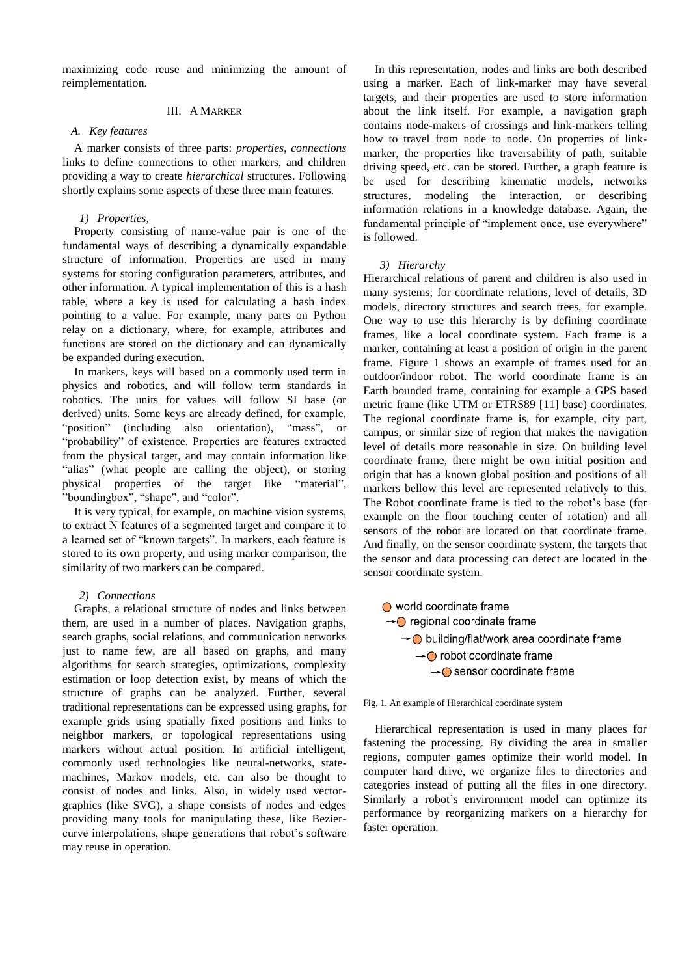maximizing code reuse and minimizing the amount of reimplementation.

# III. A MARKER

# *A. Key features*

A marker consists of three parts: *properties*, *connections* links to define connections to other markers, and children providing a way to create *hierarchical* structures. Following shortly explains some aspects of these three main features.

# *1) Properties,*

Property consisting of name-value pair is one of the fundamental ways of describing a dynamically expandable structure of information. Properties are used in many systems for storing configuration parameters, attributes, and other information. A typical implementation of this is a hash table, where a key is used for calculating a hash index pointing to a value. For example, many parts on Python relay on a dictionary, where, for example, attributes and functions are stored on the dictionary and can dynamically be expanded during execution.

In markers, keys will based on a commonly used term in physics and robotics, and will follow term standards in robotics. The units for values will follow SI base (or derived) units. Some keys are already defined, for example, "position" (including also orientation), "mass", or "probability" of existence. Properties are features extracted from the physical target, and may contain information like "alias" (what people are calling the object), or storing physical properties of the target like "material", "boundingbox", "shape", and "color".

It is very typical, for example, on machine vision systems, to extract N features of a segmented target and compare it to a learned set of "known targets". In markers, each feature is stored to its own property, and using marker comparison, the similarity of two markers can be compared.

## *2) Connections*

Graphs, a relational structure of nodes and links between them, are used in a number of places. Navigation graphs, search graphs, social relations, and communication networks just to name few, are all based on graphs, and many algorithms for search strategies, optimizations, complexity estimation or loop detection exist, by means of which the structure of graphs can be analyzed. Further, several traditional representations can be expressed using graphs, for example grids using spatially fixed positions and links to neighbor markers, or topological representations using markers without actual position. In artificial intelligent, commonly used technologies like neural-networks, statemachines, Markov models, etc. can also be thought to consist of nodes and links. Also, in widely used vectorgraphics (like SVG), a shape consists of nodes and edges providing many tools for manipulating these, like Beziercurve interpolations, shape generations that robot's software may reuse in operation.

In this representation, nodes and links are both described using a marker. Each of link-marker may have several targets, and their properties are used to store information about the link itself. For example, a navigation graph contains node-makers of crossings and link-markers telling how to travel from node to node. On properties of linkmarker, the properties like traversability of path, suitable driving speed, etc. can be stored. Further, a graph feature is be used for describing kinematic models, networks structures, modeling the interaction, or describing information relations in a knowledge database. Again, the fundamental principle of "implement once, use everywhere" is followed.

#### *3) Hierarchy*

Hierarchical relations of parent and children is also used in many systems; for coordinate relations, level of details, 3D models, directory structures and search trees, for example. One way to use this hierarchy is by defining coordinate frames, like a local coordinate system. Each frame is a marker, containing at least a position of origin in the parent frame. Figure 1 shows an example of frames used for an outdoor/indoor robot. The world coordinate frame is an Earth bounded frame, containing for example a GPS based metric frame (like UTM or ETRS89 [11] base) coordinates. The regional coordinate frame is, for example, city part, campus, or similar size of region that makes the navigation level of details more reasonable in size. On building level coordinate frame, there might be own initial position and origin that has a known global position and positions of all markers bellow this level are represented relatively to this. The Robot coordinate frame is tied to the robot's base (for example on the floor touching center of rotation) and all sensors of the robot are located on that coordinate frame. And finally, on the sensor coordinate system, the targets that the sensor and data processing can detect are located in the sensor coordinate system.





Hierarchical representation is used in many places for fastening the processing. By dividing the area in smaller regions, computer games optimize their world model. In computer hard drive, we organize files to directories and categories instead of putting all the files in one directory. Similarly a robot's environment model can optimize its performance by reorganizing markers on a hierarchy for faster operation.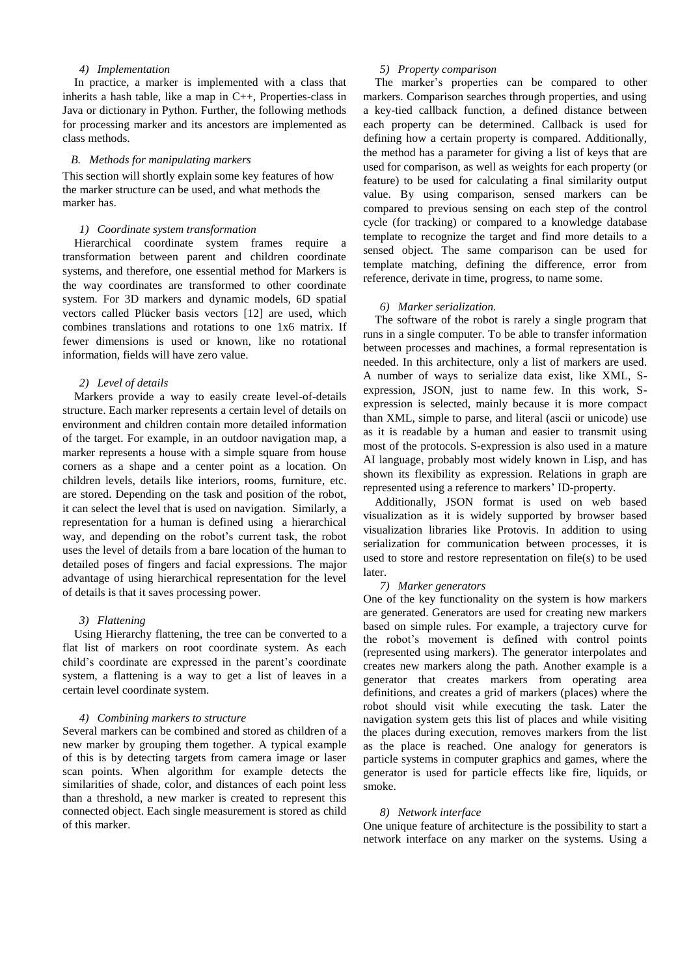# *4) Implementation*

In practice, a marker is implemented with a class that inherits a hash table, like a map in C++, Properties-class in Java or dictionary in Python. Further, the following methods for processing marker and its ancestors are implemented as class methods.

## *B. Methods for manipulating markers*

This section will shortly explain some key features of how the marker structure can be used, and what methods the marker has.

#### *1) Coordinate system transformation*

Hierarchical coordinate system frames require a transformation between parent and children coordinate systems, and therefore, one essential method for Markers is the way coordinates are transformed to other coordinate system. For 3D markers and dynamic models, 6D spatial vectors called Plücker basis vectors [12] are used, which combines translations and rotations to one 1x6 matrix. If fewer dimensions is used or known, like no rotational information, fields will have zero value.

#### *2) Level of details*

Markers provide a way to easily create level-of-details structure. Each marker represents a certain level of details on environment and children contain more detailed information of the target. For example, in an outdoor navigation map, a marker represents a house with a simple square from house corners as a shape and a center point as a location. On children levels, details like interiors, rooms, furniture, etc. are stored. Depending on the task and position of the robot, it can select the level that is used on navigation. Similarly, a representation for a human is defined using a hierarchical way, and depending on the robot's current task, the robot uses the level of details from a bare location of the human to detailed poses of fingers and facial expressions. The major advantage of using hierarchical representation for the level of details is that it saves processing power.

#### *3) Flattening*

Using Hierarchy flattening, the tree can be converted to a flat list of markers on root coordinate system. As each child's coordinate are expressed in the parent's coordinate system, a flattening is a way to get a list of leaves in a certain level coordinate system.

### *4) Combining markers to structure*

Several markers can be combined and stored as children of a new marker by grouping them together. A typical example of this is by detecting targets from camera image or laser scan points. When algorithm for example detects the similarities of shade, color, and distances of each point less than a threshold, a new marker is created to represent this connected object. Each single measurement is stored as child of this marker.

# *5) Property comparison*

The marker's properties can be compared to other markers. Comparison searches through properties, and using a key-tied callback function, a defined distance between each property can be determined. Callback is used for defining how a certain property is compared. Additionally, the method has a parameter for giving a list of keys that are used for comparison, as well as weights for each property (or feature) to be used for calculating a final similarity output value. By using comparison, sensed markers can be compared to previous sensing on each step of the control cycle (for tracking) or compared to a knowledge database template to recognize the target and find more details to a sensed object. The same comparison can be used for template matching, defining the difference, error from reference, derivate in time, progress, to name some.

## *6) Marker serialization.*

The software of the robot is rarely a single program that runs in a single computer. To be able to transfer information between processes and machines, a formal representation is needed. In this architecture, only a list of markers are used. A number of ways to serialize data exist, like XML, Sexpression, JSON, just to name few. In this work, Sexpression is selected, mainly because it is more compact than XML, simple to parse, and literal (ascii or unicode) use as it is readable by a human and easier to transmit using most of the protocols. S-expression is also used in a mature AI language, probably most widely known in Lisp, and has shown its flexibility as expression. Relations in graph are represented using a reference to markers' ID-property.

Additionally, JSON format is used on web based visualization as it is widely supported by browser based visualization libraries like Protovis. In addition to using serialization for communication between processes, it is used to store and restore representation on file(s) to be used later.

## *7) Marker generators*

One of the key functionality on the system is how markers are generated. Generators are used for creating new markers based on simple rules. For example, a trajectory curve for the robot's movement is defined with control points (represented using markers). The generator interpolates and creates new markers along the path. Another example is a generator that creates markers from operating area definitions, and creates a grid of markers (places) where the robot should visit while executing the task. Later the navigation system gets this list of places and while visiting the places during execution, removes markers from the list as the place is reached. One analogy for generators is particle systems in computer graphics and games, where the generator is used for particle effects like fire, liquids, or smoke.

#### *8) Network interface*

One unique feature of architecture is the possibility to start a network interface on any marker on the systems. Using a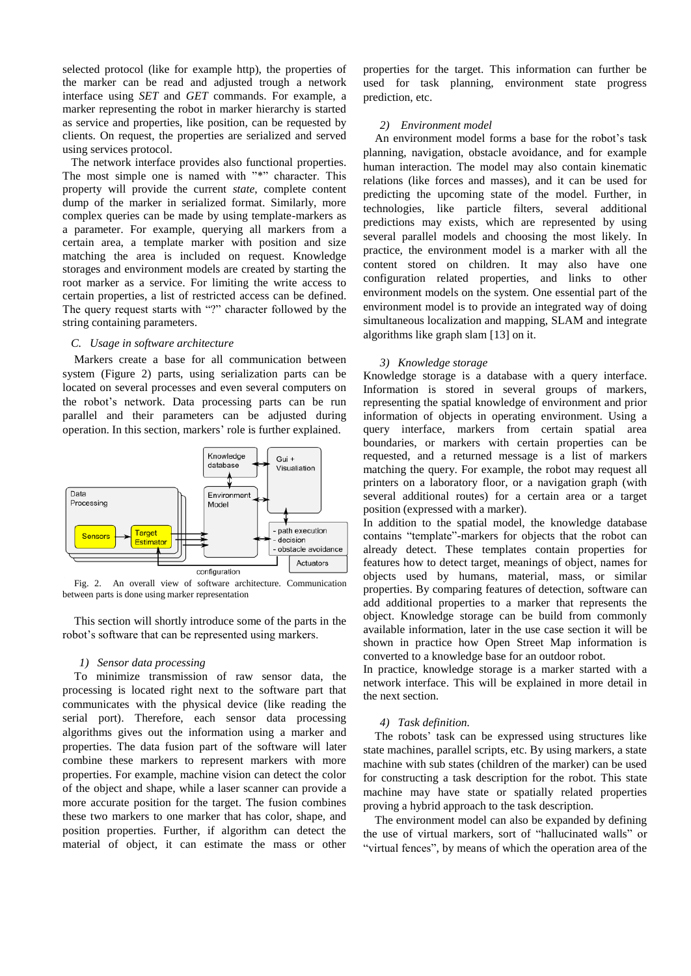selected protocol (like for example http), the properties of the marker can be read and adjusted trough a network interface using *SET* and *GET* commands. For example, a marker representing the robot in marker hierarchy is started as service and properties, like position, can be requested by clients. On request, the properties are serialized and served using services protocol.

 The network interface provides also functional properties. The most simple one is named with "\*" character. This property will provide the current *state*, complete content dump of the marker in serialized format. Similarly, more complex queries can be made by using template-markers as a parameter. For example, querying all markers from a certain area, a template marker with position and size matching the area is included on request. Knowledge storages and environment models are created by starting the root marker as a service. For limiting the write access to certain properties, a list of restricted access can be defined. The query request starts with "?" character followed by the string containing parameters.

#### *C. Usage in software architecture*

Markers create a base for all communication between system (Figure 2) parts, using serialization parts can be located on several processes and even several computers on the robot's network. Data processing parts can be run parallel and their parameters can be adjusted during operation. In this section, markers' role is further explained.



Fig. 2. An overall view of software architecture. Communication between parts is done using marker representation

This section will shortly introduce some of the parts in the robot's software that can be represented using markers.

#### *1) Sensor data processing*

To minimize transmission of raw sensor data, the processing is located right next to the software part that communicates with the physical device (like reading the serial port). Therefore, each sensor data processing algorithms gives out the information using a marker and properties. The data fusion part of the software will later combine these markers to represent markers with more properties. For example, machine vision can detect the color of the object and shape, while a laser scanner can provide a more accurate position for the target. The fusion combines these two markers to one marker that has color, shape, and position properties. Further, if algorithm can detect the material of object, it can estimate the mass or other

properties for the target. This information can further be used for task planning, environment state progress prediction, etc.

# *2) Environment model*

An environment model forms a base for the robot's task planning, navigation, obstacle avoidance, and for example human interaction. The model may also contain kinematic relations (like forces and masses), and it can be used for predicting the upcoming state of the model. Further, in technologies, like particle filters, several additional predictions may exists, which are represented by using several parallel models and choosing the most likely. In practice, the environment model is a marker with all the content stored on children. It may also have one configuration related properties, and links to other environment models on the system. One essential part of the environment model is to provide an integrated way of doing simultaneous localization and mapping, SLAM and integrate algorithms like graph slam [13] on it.

# *3) Knowledge storage*

Knowledge storage is a database with a query interface. Information is stored in several groups of markers, representing the spatial knowledge of environment and prior information of objects in operating environment. Using a query interface, markers from certain spatial area boundaries, or markers with certain properties can be requested, and a returned message is a list of markers matching the query. For example, the robot may request all printers on a laboratory floor, or a navigation graph (with several additional routes) for a certain area or a target position (expressed with a marker).

In addition to the spatial model, the knowledge database contains "template"-markers for objects that the robot can already detect. These templates contain properties for features how to detect target, meanings of object, names for objects used by humans, material, mass, or similar properties. By comparing features of detection, software can add additional properties to a marker that represents the object. Knowledge storage can be build from commonly available information, later in the use case section it will be shown in practice how Open Street Map information is converted to a knowledge base for an outdoor robot.

In practice, knowledge storage is a marker started with a network interface. This will be explained in more detail in the next section.

# *4) Task definition.*

The robots' task can be expressed using structures like state machines, parallel scripts, etc. By using markers, a state machine with sub states (children of the marker) can be used for constructing a task description for the robot. This state machine may have state or spatially related properties proving a hybrid approach to the task description.

The environment model can also be expanded by defining the use of virtual markers, sort of "hallucinated walls" or "virtual fences", by means of which the operation area of the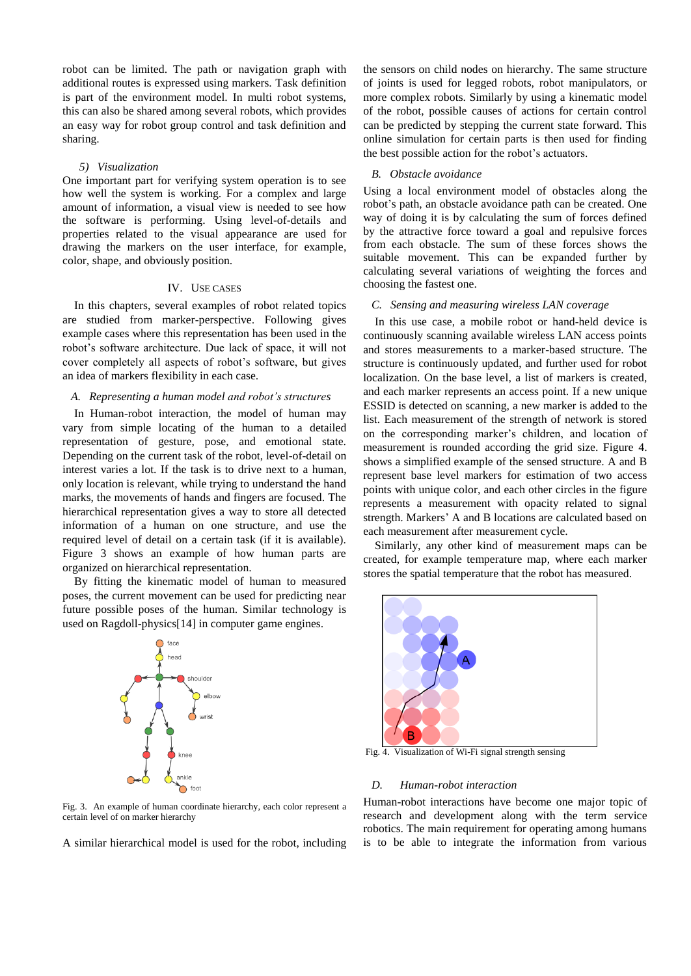robot can be limited. The path or navigation graph with additional routes is expressed using markers. Task definition is part of the environment model. In multi robot systems, this can also be shared among several robots, which provides an easy way for robot group control and task definition and sharing.

#### *5) Visualization*

One important part for verifying system operation is to see how well the system is working. For a complex and large amount of information, a visual view is needed to see how the software is performing. Using level-of-details and properties related to the visual appearance are used for drawing the markers on the user interface, for example, color, shape, and obviously position.

## IV. USE CASES

In this chapters, several examples of robot related topics are studied from marker-perspective. Following gives example cases where this representation has been used in the robot's software architecture. Due lack of space, it will not cover completely all aspects of robot's software, but gives an idea of markers flexibility in each case.

## *A. Representing a human model and robot's structures*

In Human-robot interaction, the model of human may vary from simple locating of the human to a detailed representation of gesture, pose, and emotional state. Depending on the current task of the robot, level-of-detail on interest varies a lot. If the task is to drive next to a human, only location is relevant, while trying to understand the hand marks, the movements of hands and fingers are focused. The hierarchical representation gives a way to store all detected information of a human on one structure, and use the required level of detail on a certain task (if it is available). Figure 3 shows an example of how human parts are organized on hierarchical representation.

By fitting the kinematic model of human to measured poses, the current movement can be used for predicting near future possible poses of the human. Similar technology is used on Ragdoll-physics[14] in computer game engines.



Fig. 3. An example of human coordinate hierarchy, each color represent a certain level of on marker hierarchy

A similar hierarchical model is used for the robot, including

the sensors on child nodes on hierarchy. The same structure of joints is used for legged robots, robot manipulators, or more complex robots. Similarly by using a kinematic model of the robot, possible causes of actions for certain control can be predicted by stepping the current state forward. This online simulation for certain parts is then used for finding the best possible action for the robot's actuators.

#### *B. Obstacle avoidance*

Using a local environment model of obstacles along the robot's path, an obstacle avoidance path can be created. One way of doing it is by calculating the sum of forces defined by the attractive force toward a goal and repulsive forces from each obstacle. The sum of these forces shows the suitable movement. This can be expanded further by calculating several variations of weighting the forces and choosing the fastest one.

#### *C. Sensing and measuring wireless LAN coverage*

In this use case, a mobile robot or hand-held device is continuously scanning available wireless LAN access points and stores measurements to a marker-based structure. The structure is continuously updated, and further used for robot localization. On the base level, a list of markers is created, and each marker represents an access point. If a new unique ESSID is detected on scanning, a new marker is added to the list. Each measurement of the strength of network is stored on the corresponding marker's children, and location of measurement is rounded according the grid size. Figure 4. shows a simplified example of the sensed structure. A and B represent base level markers for estimation of two access points with unique color, and each other circles in the figure represents a measurement with opacity related to signal strength. Markers' A and B locations are calculated based on each measurement after measurement cycle.

Similarly, any other kind of measurement maps can be created, for example temperature map, where each marker stores the spatial temperature that the robot has measured.



Fig.  $4$ Visualization of Wi-Fi signal strength sensing

## *D. Human-robot interaction*

Human-robot interactions have become one major topic of research and development along with the term service robotics. The main requirement for operating among humans is to be able to integrate the information from various